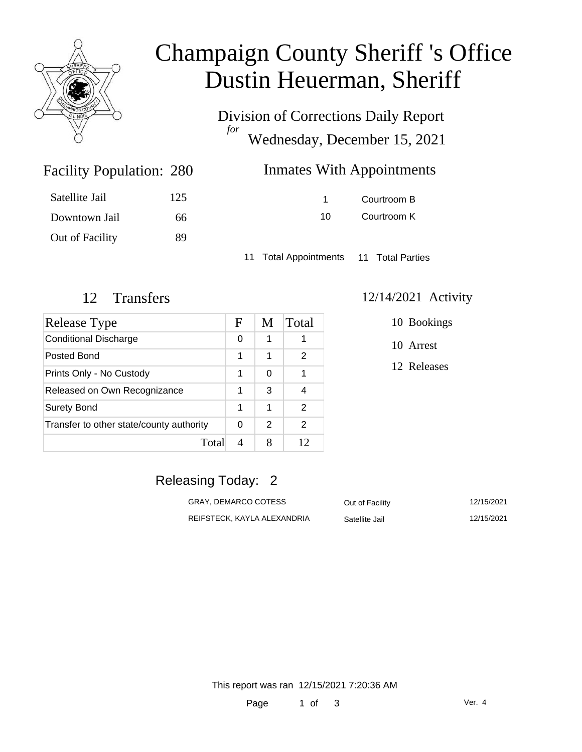

## Champaign County Sheriff 's Office Dustin Heuerman, Sheriff

Division of Corrections Daily Report *for* Wednesday, December 15, 2021

| 280 | Inmates With Appointments |
|-----|---------------------------|
|-----|---------------------------|

|    | Courtroom B |
|----|-------------|
| 10 | Courtroom K |

11 Total Appointments 11 Total Parties

Facility Population: 280

Satellite Jail 125

Downtown Jail 66

Out of Facility 89

| Release Type                             | F | M | Total |
|------------------------------------------|---|---|-------|
| <b>Conditional Discharge</b>             | 0 |   |       |
| Posted Bond                              | 1 | 1 | 2     |
| Prints Only - No Custody                 | 1 | 0 |       |
| Released on Own Recognizance             | 1 | 3 |       |
| <b>Surety Bond</b>                       | 1 | 1 | 2     |
| Transfer to other state/county authority | 0 | 2 | 2     |
| Total                                    |   |   | 12    |

#### 12 Transfers 12/14/2021 Activity

10 Bookings

10 Arrest

12 Releases

### Releasing Today: 2

| GRAY, DEMARCO COTESS        | Out of Facility | 12/15/2021 |
|-----------------------------|-----------------|------------|
| REIFSTECK, KAYLA ALEXANDRIA | Satellite Jail  | 12/15/2021 |

This report was ran 12/15/2021 7:20:36 AM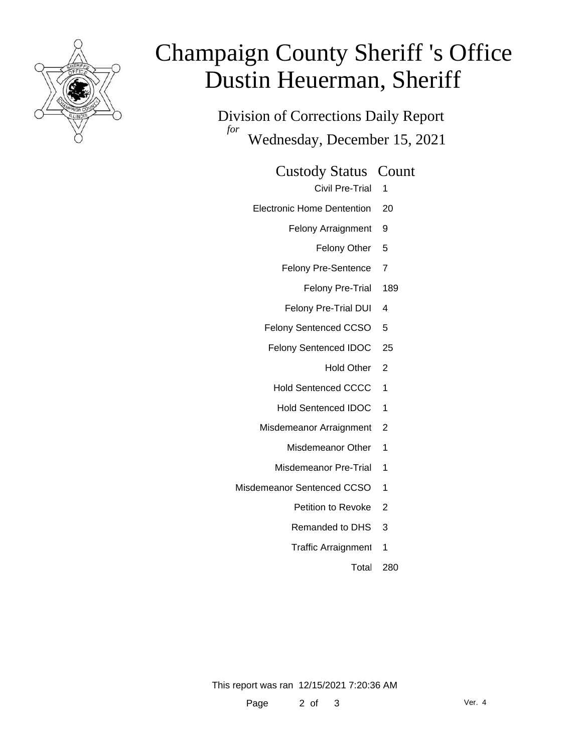

# Champaign County Sheriff 's Office Dustin Heuerman, Sheriff

Division of Corrections Daily Report *for* Wednesday, December 15, 2021

Custody Status Count

Civil Pre-Trial 1

Electronic Home Dentention 20

Felony Arraignment 9

Felony Other 5

Felony Pre-Sentence 7

Felony Pre-Trial 189

Felony Pre-Trial DUI 4

Felony Sentenced CCSO 5

Felony Sentenced IDOC 25

Hold Other 2

Hold Sentenced CCCC 1

- Hold Sentenced IDOC 1
- Misdemeanor Arraignment 2
	- Misdemeanor Other 1
	- Misdemeanor Pre-Trial 1
- Misdemeanor Sentenced CCSO 1
	- Petition to Revoke 2
	- Remanded to DHS 3
	- Traffic Arraignment 1
		- Total 280